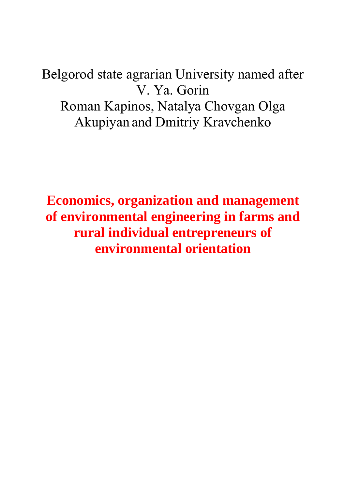Belgorod state agrarian University named after V. Ya. Gorin Roman Kapinos, Natalya Chovgan Olga Akupiyan and Dmitriy Kravchenko

**Economics, organization and management of environmental engineering in farms and rural individual entrepreneurs of environmental orientation**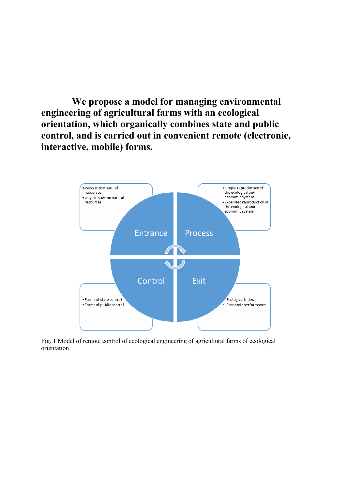**We propose a model for managing environmental engineering of agricultural farms with an ecological orientation, which organically combines state and public control, and is carried out in convenient remote (electronic, interactive, mobile) forms.**



Fig. 1 Model of remote control of ecological engineering of agricultural farms of ecological orientation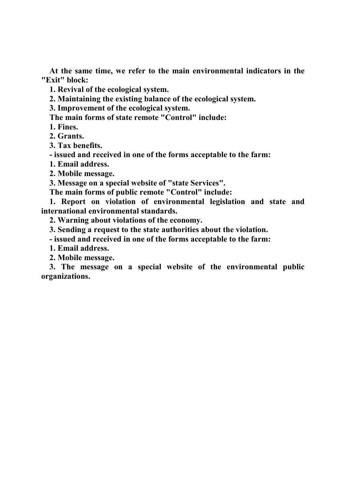**At the same time, we refer to the main environmental indicators in the "Exit" block:**

**1. Revival of the ecological system.**

**2. Maintaining the existing balance of the ecological system.**

**3. Improvement of the ecological system.**

**The main forms of state remote "Control" include:**

**1. Fines.**

**2. Grants.**

**3. Tax benefits.** 

**- issued and received in one of the forms acceptable to the farm:**

**1. Email address.**

**2. Mobile message.**

**3. Message on a special website of "state Services".**

**The main forms of public remote "Control" include:**

**1. Report on violation of environmental legislation and state and international environmental standards.**

**2. Warning about violations of the economy.**

**3. Sending a request to the state authorities about the violation.**

**- issued and received in one of the forms acceptable to the farm:**

**1. Email address.**

**2. Mobile message.**

**3. The message on a special website of the environmental public organizations.**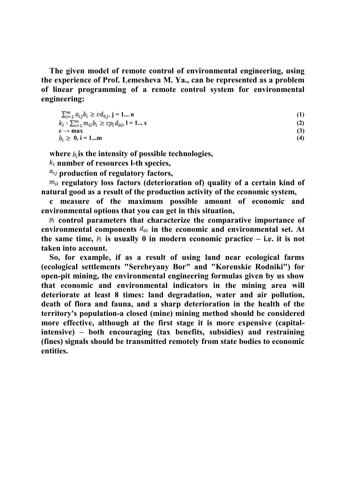**The given model of remote control of environmental engineering, using the experience of Prof. Lemesheva M. Ya., can be represented as a problem of linear programming of a remote control system for environmental engineering:**

$$
\sum_{i=1}^{m} a_{ij} b_i \geq c d_{0j}, \quad j = 1... \quad n
$$
\n
$$
k_l : \sum_{i=1}^{m} m_{il} b_i \geq c p_l d_{0l}, \quad l = 1... \quad s
$$
\n
$$
c \rightarrow \max \tag{3}
$$
\n
$$
b_i \geq 0, \quad i = 1... \quad m
$$
\n
$$
(4)
$$

where  $b_i$  is the intensity of possible technologies,

**number of resources l-th species,**

 $a_{ij}$  production of regulatory factors,

**regulatory loss factors (deterioration of) quality of a certain kind of natural good as a result of the production activity of the economic system,**

**c measure of the maximum possible amount of economic and environmental options that you can get in this situation,**

 $p_i$  control parameters that characterize the comparative importance of environmental components  $d_{0l}$  in the economic and environmental set. At the same time,  $p_i$  is usually 0 in modern economic practice  $-$  *i.e.* it is not **taken into account.**

**So, for example, if as a result of using land near ecological farms (ecological settlements "Serebryany Bor" and "Korenskie Rodniki") for open-pit mining, the environmental engineering formulas given by us show that economic and environmental indicators in the mining area will deteriorate at least 8 times: land degradation, water and air pollution, death of flora and fauna, and a sharp deterioration in the health of the territory's population-a closed (mine) mining method should be considered more effective, although at the first stage it is more expensive (capitalintensive) – both encouraging (tax benefits, subsidies) and restraining (fines) signals should be transmitted remotely from state bodies to economic entities.**